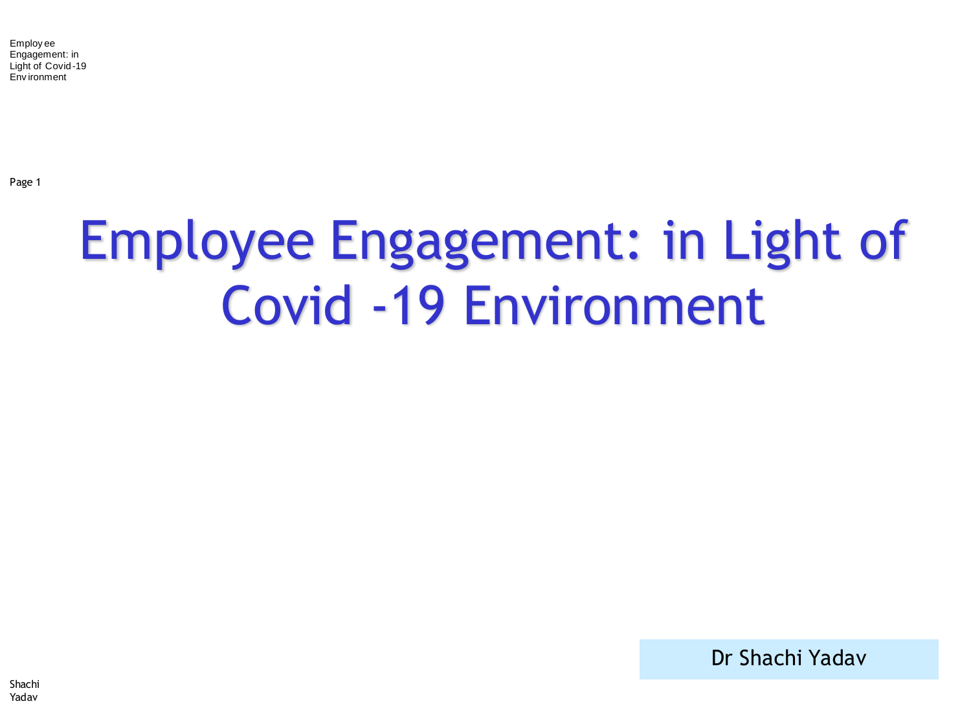Page 1

#### Employee Engagement: in Light of Covid -19 Environment

Dr Shachi Yadav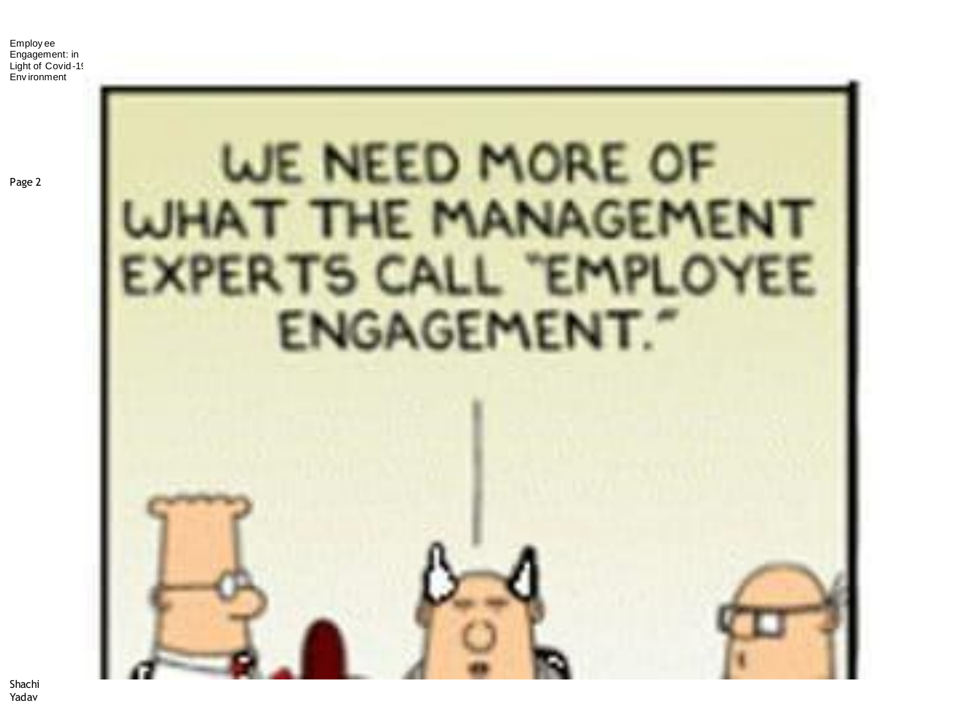# WE NEED MORE OF AT THE MANAGEMENT XPERTS CALL "EMPLOYEE

Page 2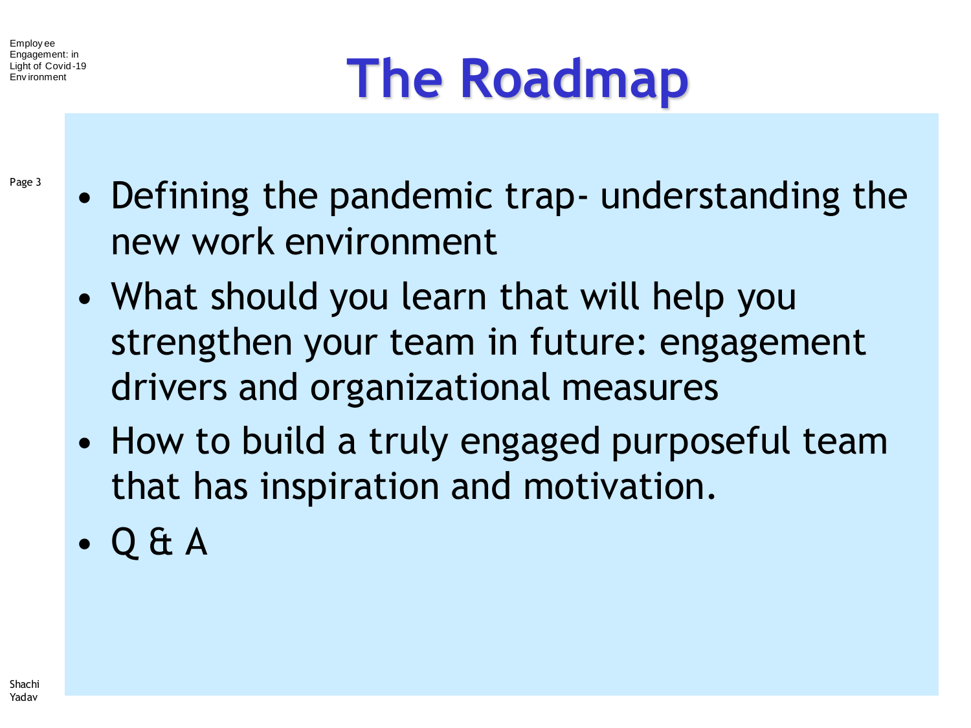# **The Roadmap**

- Page 3
- Defining the pandemic trap- understanding the new work environment
- What should you learn that will help you strengthen your team in future: engagement drivers and organizational measures
- How to build a truly engaged purposeful team that has inspiration and motivation.
- Q & A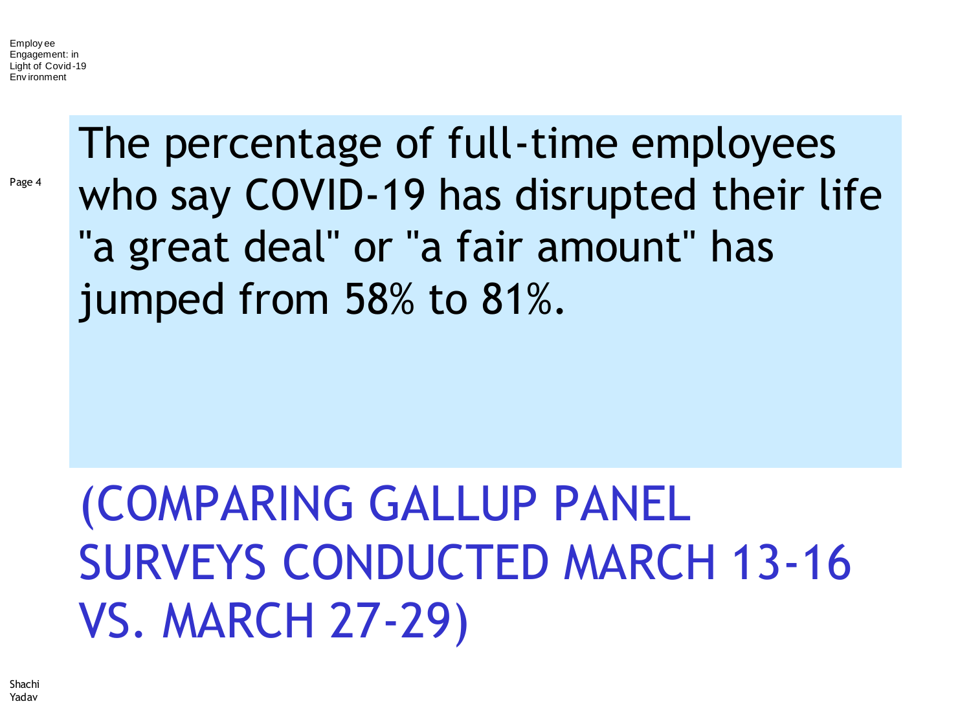Page 4

The percentage of full-time employees who say COVID-19 has disrupted their life "a great deal" or "a fair amount" has jumped from 58% to 81%.

#### (COMPARING GALLUP PANEL SURVEYS CONDUCTED MARCH 13-16 VS. MARCH 27-29)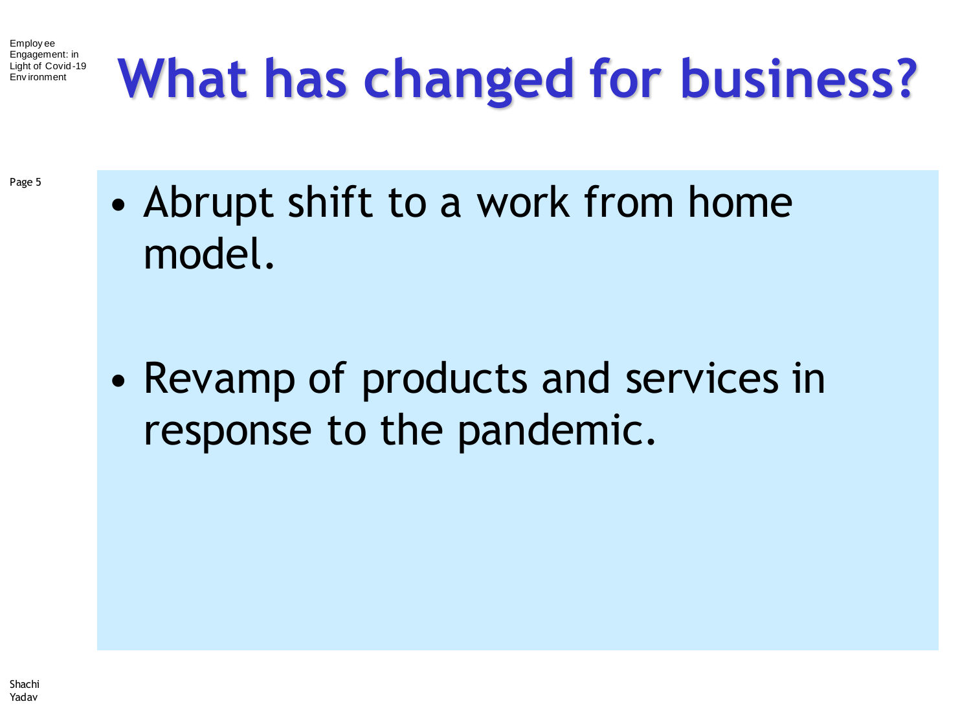## **What has changed for business?**

Page 5

• Abrupt shift to a work from home model.

• Revamp of products and services in response to the pandemic.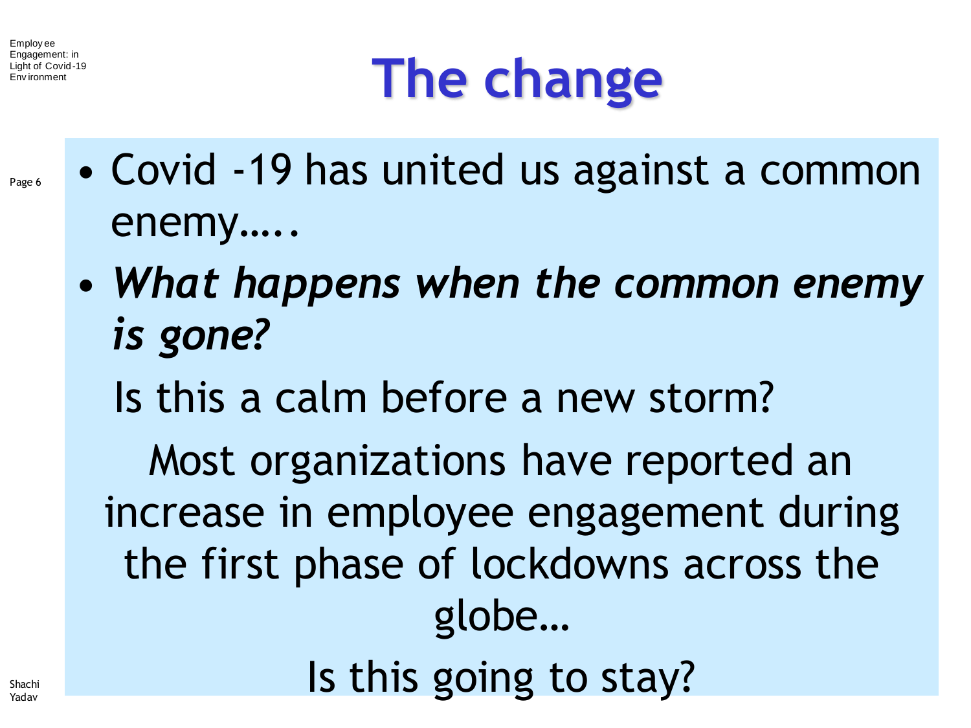Page 6

# **The change**

- Covid -19 has united us against a common enemy…..
	- *What happens when the common enemy is gone?*
		- Is this a calm before a new storm?

Most organizations have reported an increase in employee engagement during the first phase of lockdowns across the globe… Is this going to stay?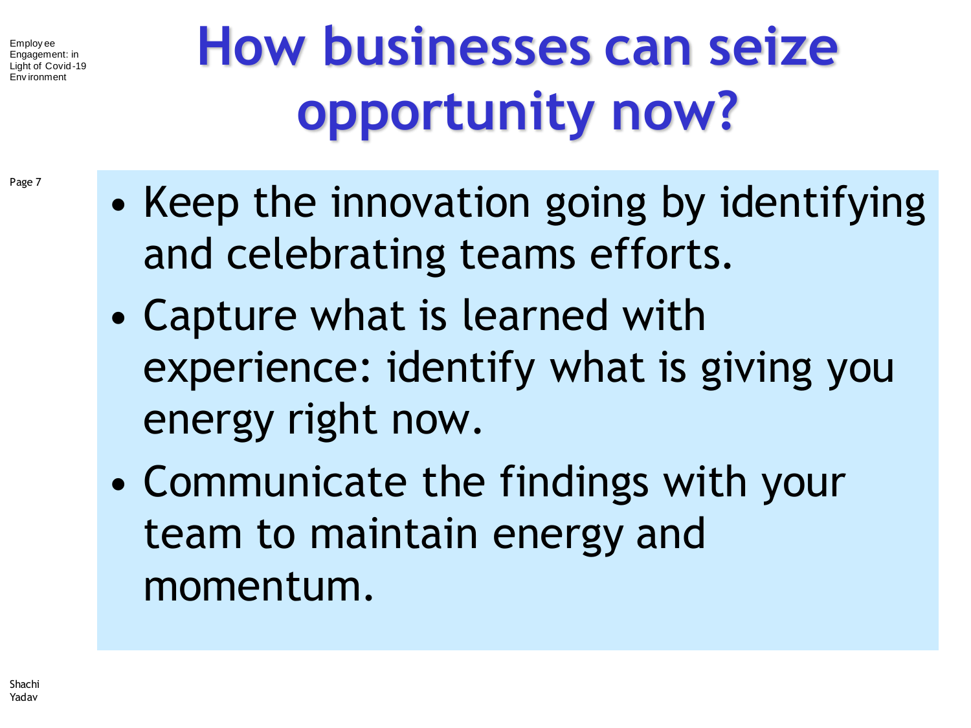Page 7

# **How businesses can seize opportunity now?**

- Keep the innovation going by identifying and celebrating teams efforts.
- Capture what is learned with experience: identify what is giving you energy right now.
- Communicate the findings with your team to maintain energy and momentum.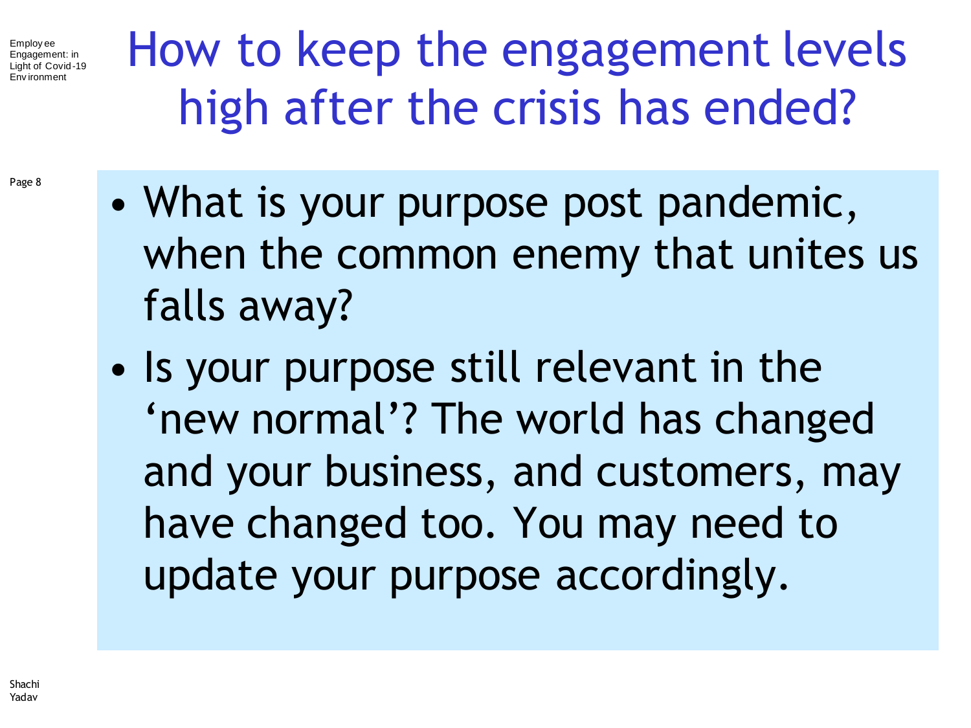Page 8

How to keep the engagement levels high after the crisis has ended?

- What is your purpose post pandemic, when the common enemy that unites us falls away?
- Is your purpose still relevant in the 'new normal'? The world has changed and your business, and customers, may have changed too. You may need to update your purpose accordingly.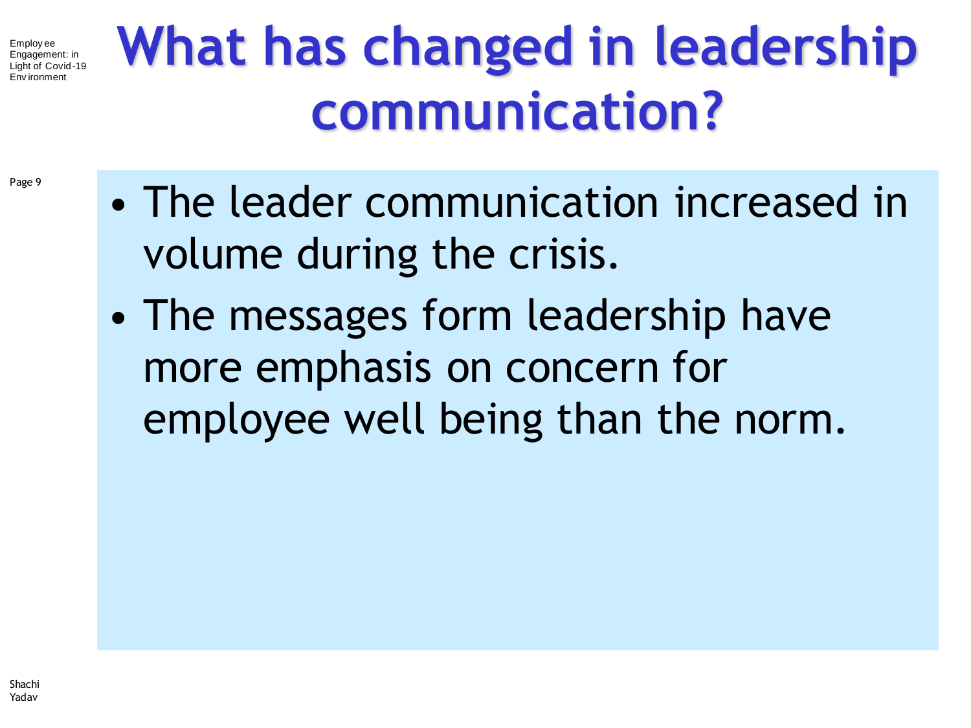Page 9

# **What has changed in leadership communication?**

- The leader communication increased in volume during the crisis.
- The messages form leadership have more emphasis on concern for employee well being than the norm.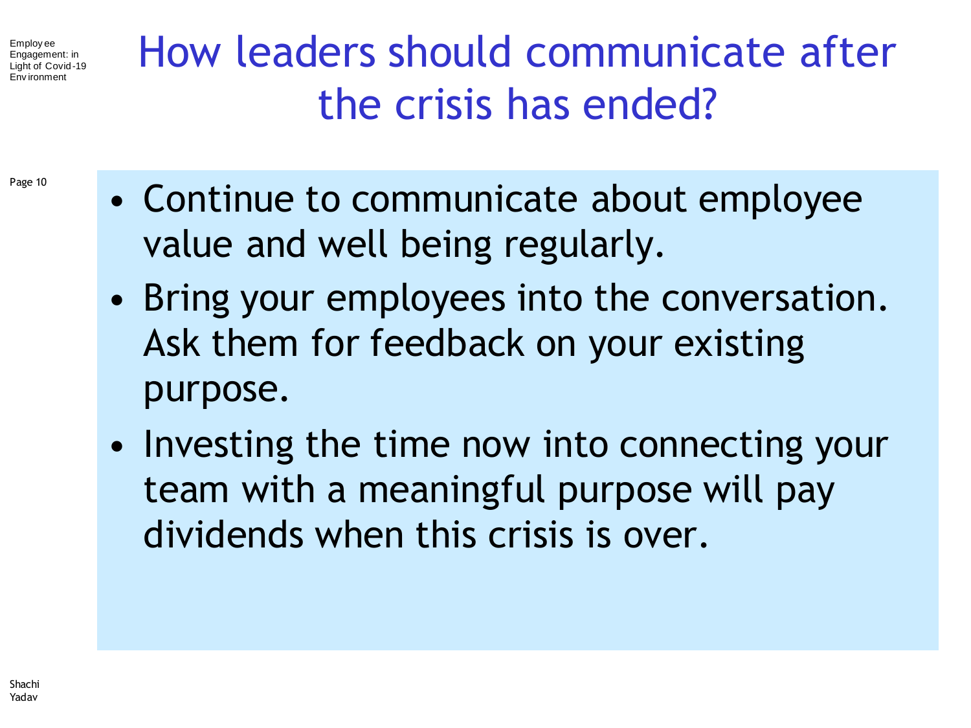How leaders should communicate after the crisis has ended?

- Page 10
- Continue to communicate about employee value and well being regularly.
- Bring your employees into the conversation. Ask them for feedback on your existing purpose.
- Investing the time now into connecting your team with a meaningful purpose will pay dividends when this crisis is over.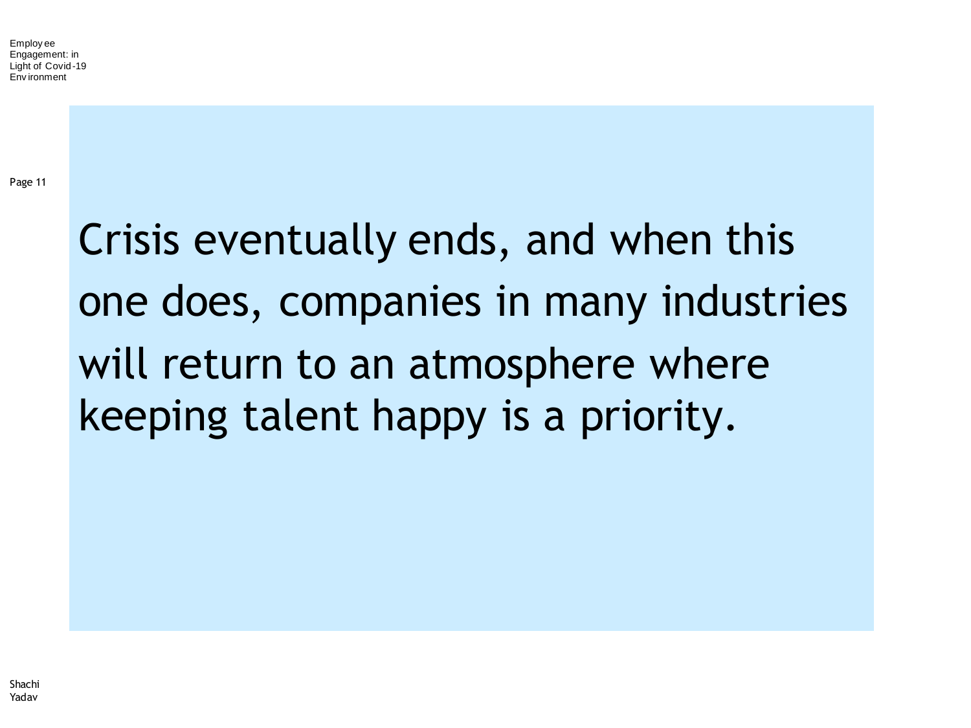Page 11

#### Crisis eventually ends, and when this one does, companies in many industries will return to an atmosphere where keeping talent happy is a priority.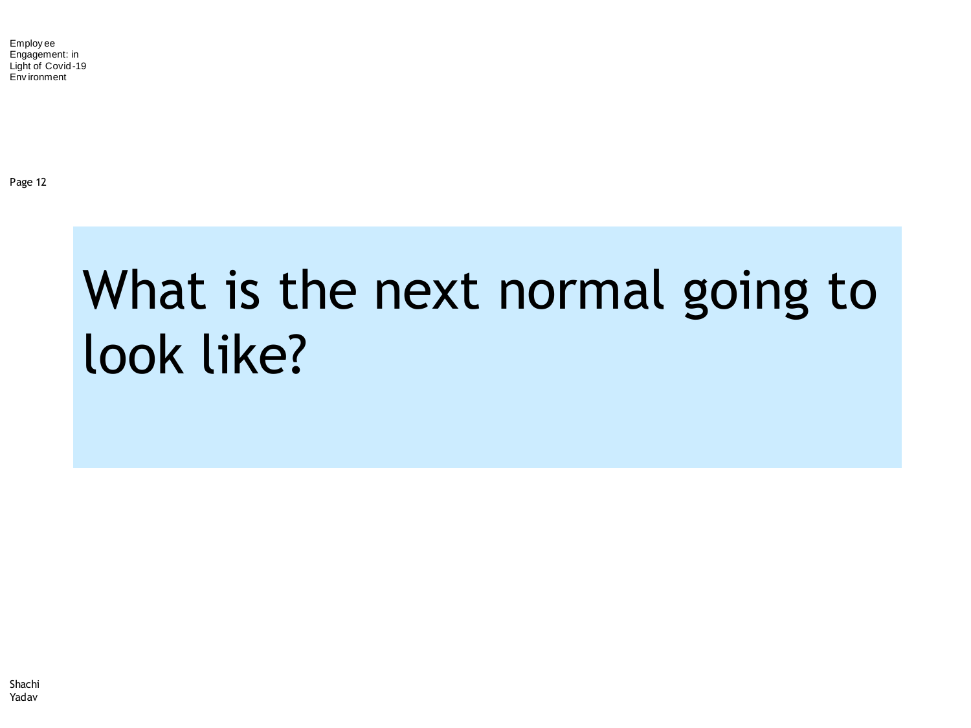Page 12

#### What is the next normal going to look like?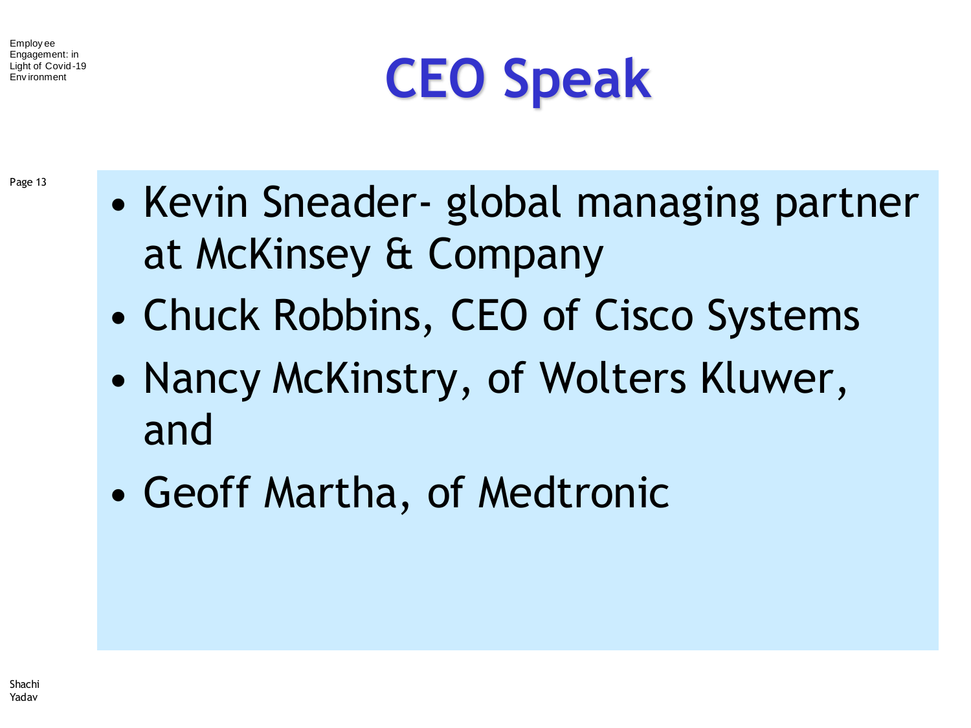

Page 13

- Kevin Sneader- global managing partner at McKinsey & Company
- Chuck Robbins, CEO of Cisco Systems
- Nancy McKinstry, of Wolters Kluwer, and
- Geoff Martha, of Medtronic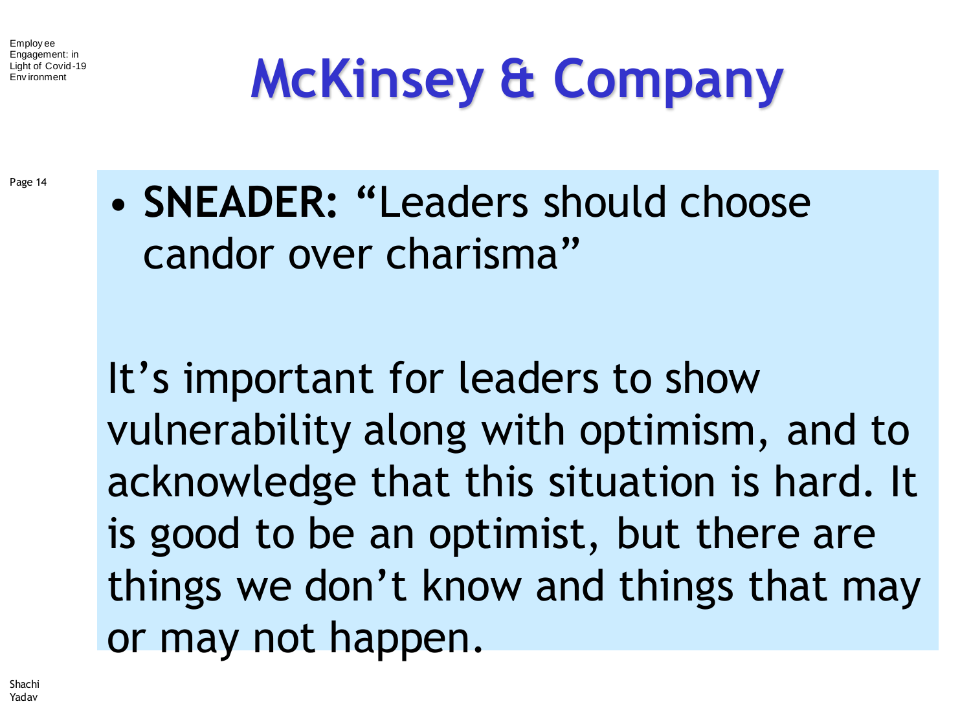# **McKinsey & Company**

Page 14

• **SNEADER: "**Leaders should choose candor over charisma"

It's important for leaders to show vulnerability along with optimism, and to acknowledge that this situation is hard. It is good to be an optimist, but there are things we don't know and things that may or may not happen.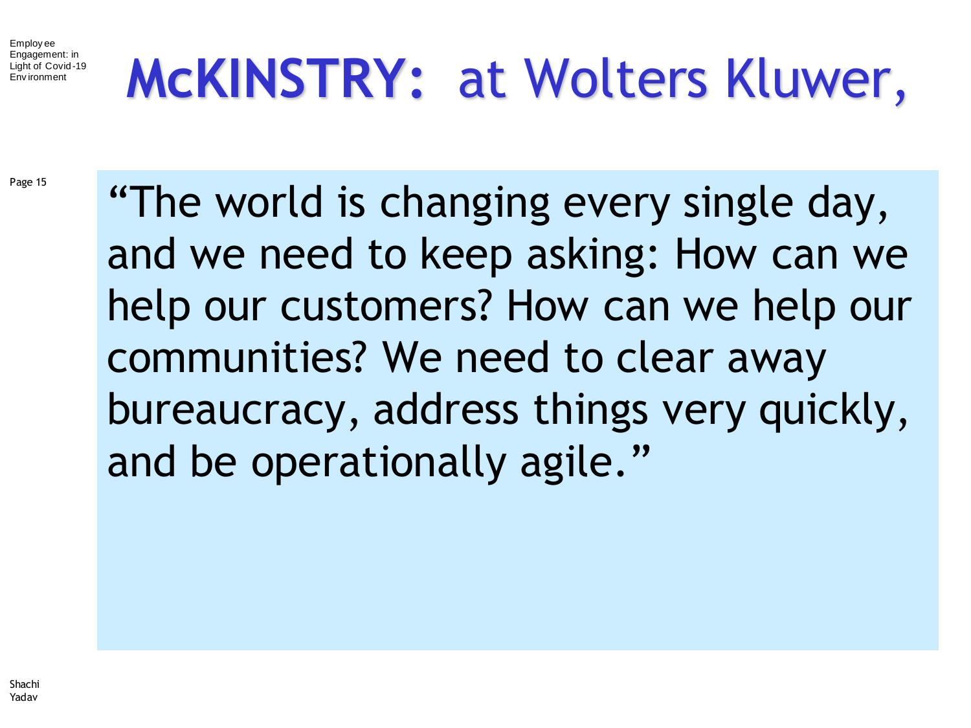## **McKINSTRY:** at Wolters Kluwer,

Page 15

"The world is changing every single day, and we need to keep asking: How can we help our customers? How can we help our communities? We need to clear away bureaucracy, address things very quickly, and be operationally agile."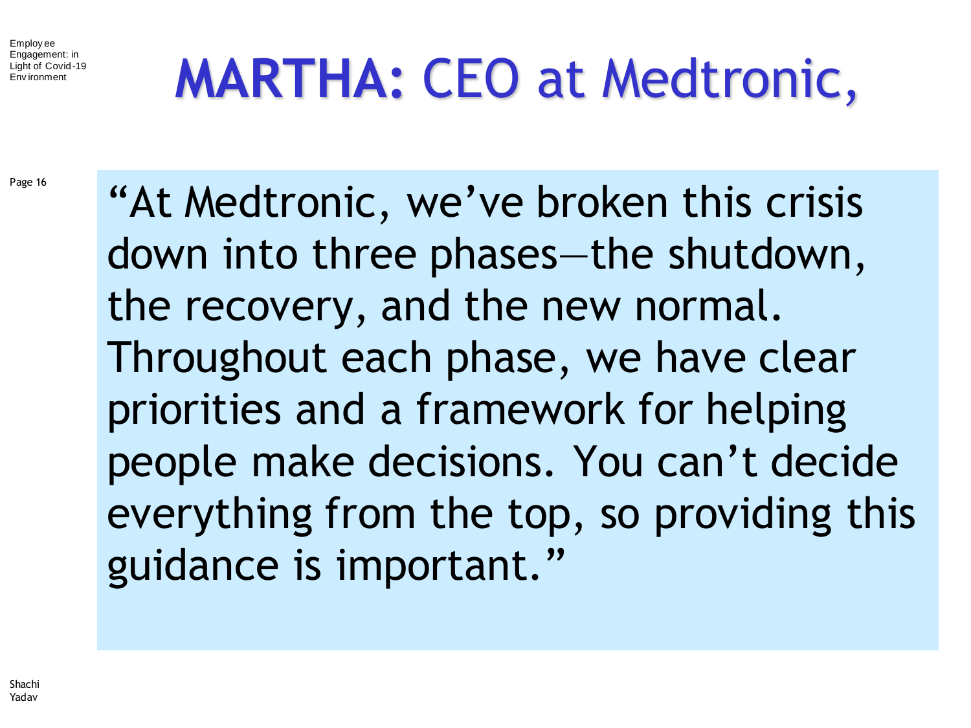## **MARTHA:** CEO at Medtronic,

Page 16

"At Medtronic, we've broken this crisis down into three phases—the shutdown, the recovery, and the new normal. Throughout each phase, we have clear priorities and a framework for helping people make decisions. You can't decide everything from the top, so providing this guidance is important."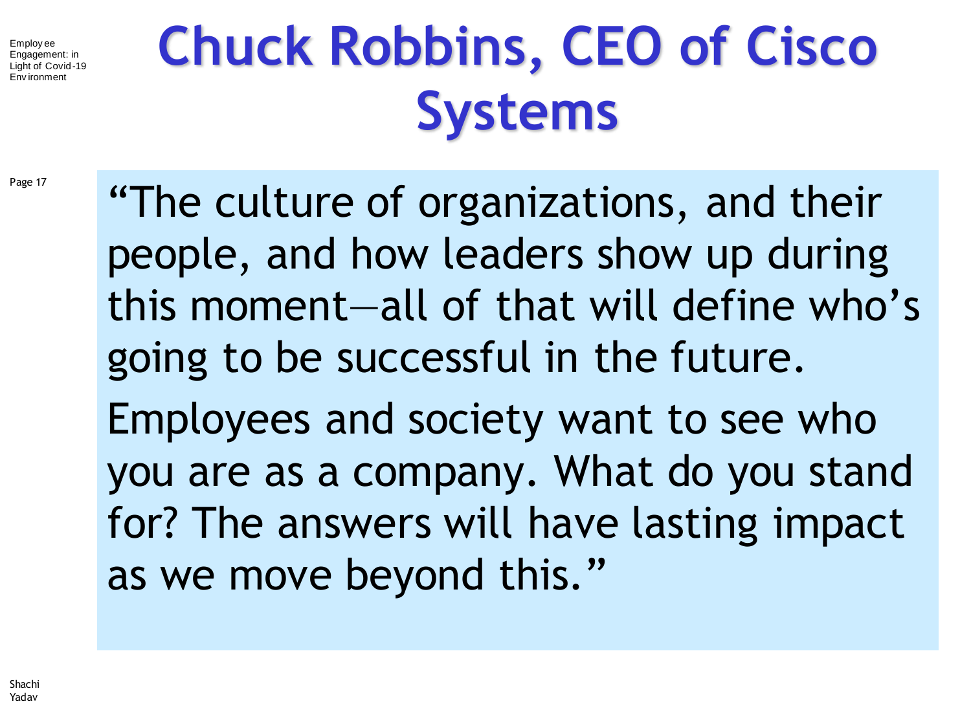# **Chuck Robbins, CEO of Cisco Systems**

Page 17

"The culture of organizations, and their people, and how leaders show up during this moment—all of that will define who's going to be successful in the future. Employees and society want to see who you are as a company. What do you stand for? The answers will have lasting impact as we move beyond this."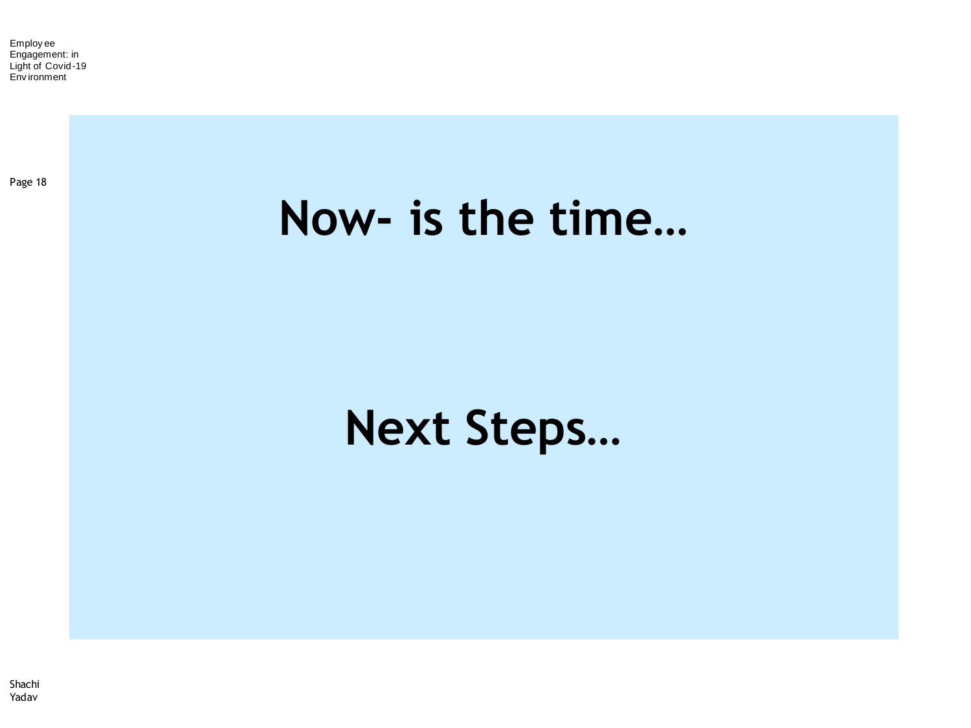Page 18

#### **Now- is the time…**

#### **Next Steps…**

Shachi Yadav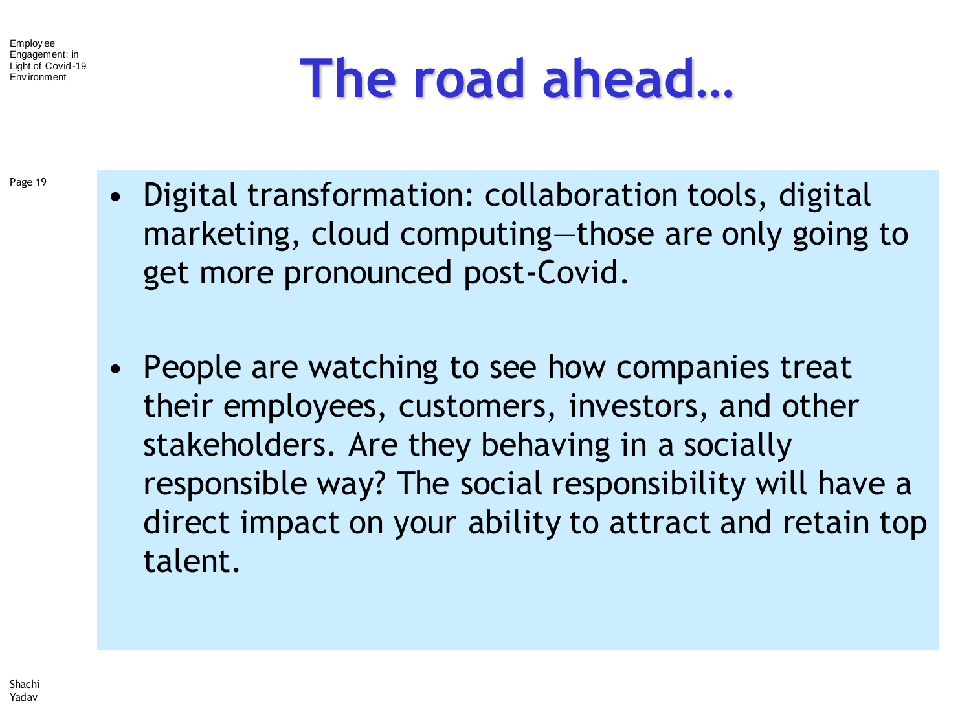Page 19

#### **The road ahead…**

- Digital transformation: collaboration tools, digital marketing, cloud computing—those are only going to get more pronounced post-Covid.
	- People are watching to see how companies treat their employees, customers, investors, and other stakeholders. Are they behaving in a socially responsible way? The social responsibility will have a direct impact on your ability to attract and retain top talent.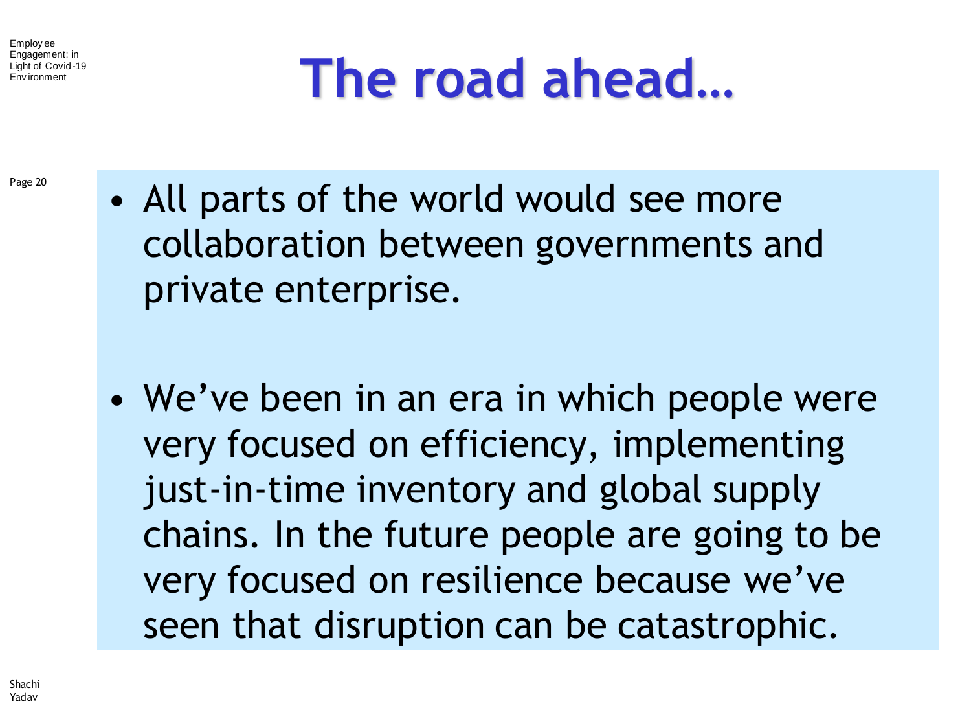#### **The road ahead…**

- Page 20
- All parts of the world would see more collaboration between governments and private enterprise.
- We've been in an era in which people were very focused on efficiency, implementing just-in-time inventory and global supply chains. In the future people are going to be very focused on resilience because we've seen that disruption can be catastrophic.